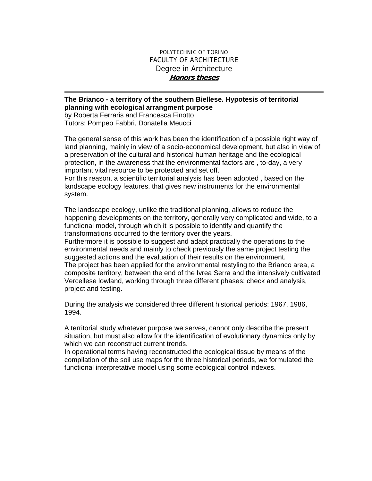## POLYTECHNIC OF TORINO FACULTY OF ARCHITECTURE Degree in Architecture **Honors theses**

## **The Brianco - a territory of the southern Biellese. Hypotesis of territorial planning with ecological arrangment purpose**  by Roberta Ferraris and Francesca Finotto

Tutors: Pompeo Fabbri, Donatella Meucci

The general sense of this work has been the identification of a possible right way of land planning, mainly in view of a socio-economical development, but also in view of a preservation of the cultural and historical human heritage and the ecological protection, in the awareness that the environmental factors are , to-day, a very important vital resource to be protected and set off.

For this reason, a scientific territorial analysis has been adopted , based on the landscape ecology features, that gives new instruments for the environmental system.

The landscape ecology, unlike the traditional planning, allows to reduce the happening developments on the territory, generally very complicated and wide, to a functional model, through which it is possible to identify and quantify the transformations occurred to the territory over the years.

Furthermore it is possible to suggest and adapt practically the operations to the environmental needs and mainly to check previously the same project testing the suggested actions and the evaluation of their results on the environment. The project has been applied for the environmental restyling to the Brianco area, a composite territory, between the end of the Ivrea Serra and the intensively cultivated Vercellese lowland, working through three different phases: check and analysis, project and testing.

During the analysis we considered three different historical periods: 1967, 1986, 1994.

A territorial study whatever purpose we serves, cannot only describe the present situation, but must also allow for the identification of evolutionary dynamics only by which we can reconstruct current trends.

In operational terms having reconstructed the ecological tissue by means of the compilation of the soil use maps for the three historical periods, we formulated the functional interpretative model using some ecological control indexes.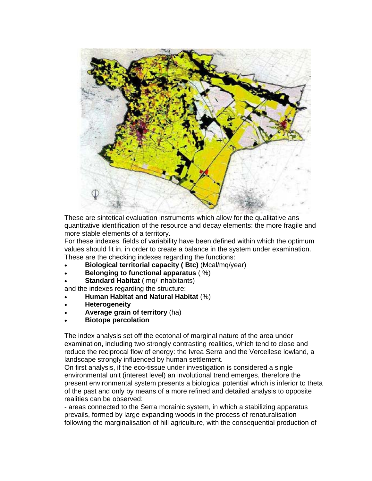

These are sintetical evaluation instruments which allow for the qualitative ans quantitative identification of the resource and decay elements: the more fragile and more stable elements of a territory.

For these indexes, fields of variability have been defined within which the optimum values should fit in, in order to create a balance in the system under examination. These are the checking indexes regarding the functions:

- **Biological territorial capacity ( Btc)** (Mcal/mq/year)
- **Belonging to functional apparatus** ( %)
- **Standard Habitat** ( mq/ inhabitants)

and the indexes regarding the structure:

- **Human Habitat and Natural Habitat** (%)
- **Heterogeneity**
- **Average grain of territory** (ha)
- **Biotope percolation**

The index analysis set off the ecotonal of marginal nature of the area under examination, including two strongly contrasting realities, which tend to close and reduce the reciprocal flow of energy: the Ivrea Serra and the Vercellese lowland, a landscape strongly influenced by human settlement.

On first analysis, if the eco-tissue under investigation is considered a single environmental unit (interest level) an involutional trend emerges, therefore the present environmental system presents a biological potential which is inferior to theta of the past and only by means of a more refined and detailed analysis to opposite realities can be observed:

- areas connected to the Serra morainic system, in which a stabilizing apparatus prevails, formed by large expanding woods in the process of renaturalisation following the marginalisation of hill agriculture, with the consequential production of